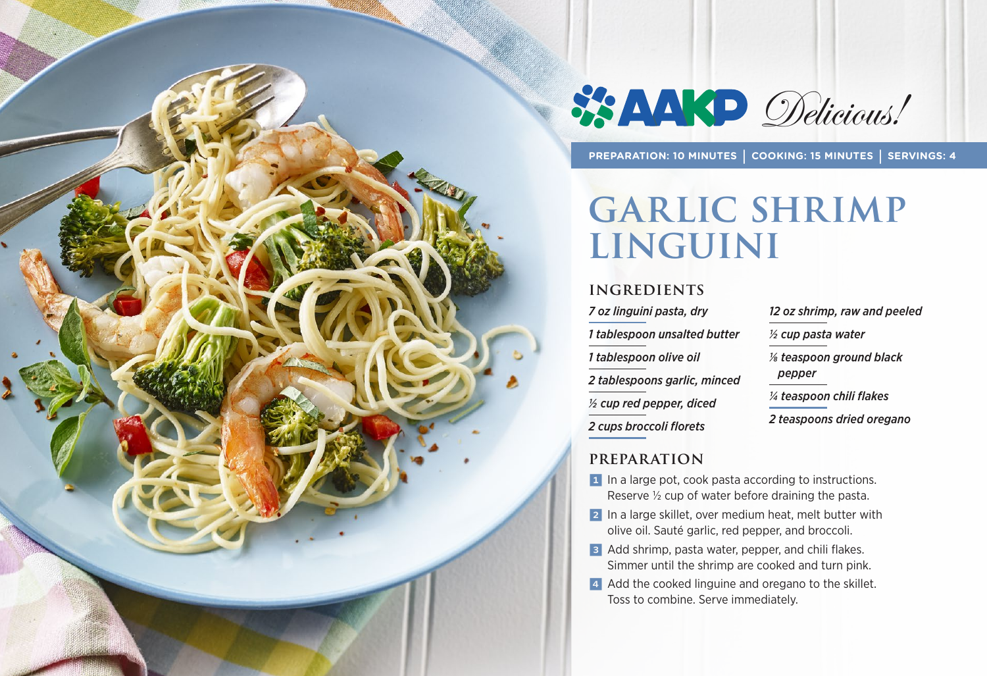



**PREPARATION: 10 MINUTES | COOKING: 15 MINUTES | SERVINGS: 4**

# **Garlic Shrimp Linguini**

#### **INGREDIENTS**

*7 oz linguini pasta, dry 1 tablespoon unsalted butter 1 tablespoon olive oil 2 tablespoons garlic, minced ½ cup red pepper, diced 2 cups broccoli florets*

*12 oz shrimp, raw and peeled ½ cup pasta water 1/8 teaspoon ground black pepper ¼ teaspoon chili flakes 2 teaspoons dried oregano* 

#### **PREPARATION**

- 1 In a large pot, cook pasta according to instructions. Reserve ½ cup of water before draining the pasta.
- 2 In a large skillet, over medium heat, melt butter with olive oil. Sauté garlic, red pepper, and broccoli.
- 3 Add shrimp, pasta water, pepper, and chili flakes. Simmer until the shrimp are cooked and turn pink.
- 4 Add the cooked linguine and oregano to the skillet. Toss to combine. Serve immediately.